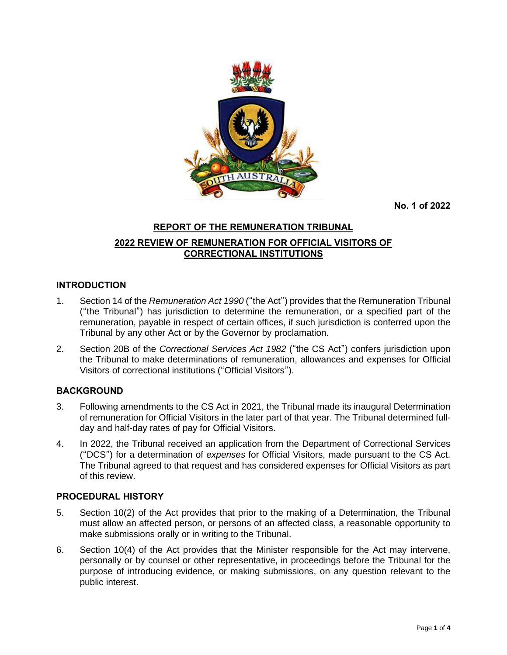

**No. 1 of 2022**

# **REPORT OF THE REMUNERATION TRIBUNAL 2022 REVIEW OF REMUNERATION FOR OFFICIAL VISITORS OF CORRECTIONAL INSTITUTIONS**

## **INTRODUCTION**

- 1. Section 14 of the *Remuneration Act 1990* ("the Act") provides that the Remuneration Tribunal ("the Tribunal") has jurisdiction to determine the remuneration, or a specified part of the remuneration, payable in respect of certain offices, if such jurisdiction is conferred upon the Tribunal by any other Act or by the Governor by proclamation.
- 2. Section 20B of the *Correctional Services Act 1982* ("the CS Act") confers jurisdiction upon the Tribunal to make determinations of remuneration, allowances and expenses for Official Visitors of correctional institutions ("Official Visitors").

## **BACKGROUND**

- 3. Following amendments to the CS Act in 2021, the Tribunal made its inaugural Determination of remuneration for Official Visitors in the later part of that year. The Tribunal determined fullday and half-day rates of pay for Official Visitors.
- 4. In 2022, the Tribunal received an application from the Department of Correctional Services ("DCS") for a determination of *expenses* for Official Visitors, made pursuant to the CS Act. The Tribunal agreed to that request and has considered expenses for Official Visitors as part of this review.

## **PROCEDURAL HISTORY**

- 5. Section 10(2) of the Act provides that prior to the making of a Determination, the Tribunal must allow an affected person, or persons of an affected class, a reasonable opportunity to make submissions orally or in writing to the Tribunal.
- 6. Section 10(4) of the Act provides that the Minister responsible for the Act may intervene, personally or by counsel or other representative, in proceedings before the Tribunal for the purpose of introducing evidence, or making submissions, on any question relevant to the public interest.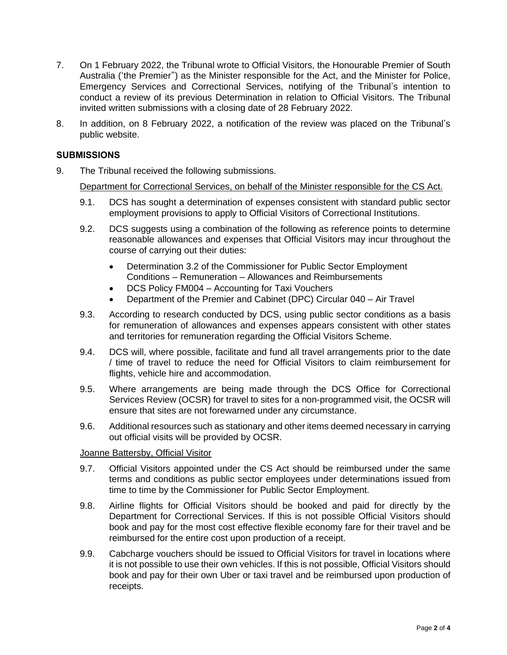- 7. On 1 February 2022, the Tribunal wrote to Official Visitors, the Honourable Premier of South Australia ('the Premier") as the Minister responsible for the Act, and the Minister for Police, Emergency Services and Correctional Services, notifying of the Tribunal's intention to conduct a review of its previous Determination in relation to Official Visitors. The Tribunal invited written submissions with a closing date of 28 February 2022.
- 8. In addition, on 8 February 2022, a notification of the review was placed on the Tribunal's public website.

#### **SUBMISSIONS**

9. The Tribunal received the following submissions.

Department for Correctional Services, on behalf of the Minister responsible for the CS Act.

- 9.1. DCS has sought a determination of expenses consistent with standard public sector employment provisions to apply to Official Visitors of Correctional Institutions.
- 9.2. DCS suggests using a combination of the following as reference points to determine reasonable allowances and expenses that Official Visitors may incur throughout the course of carrying out their duties:
	- Determination 3.2 of the Commissioner for Public Sector Employment Conditions – Remuneration – Allowances and Reimbursements
	- DCS Policy FM004 Accounting for Taxi Vouchers
	- Department of the Premier and Cabinet (DPC) Circular 040 Air Travel
- 9.3. According to research conducted by DCS, using public sector conditions as a basis for remuneration of allowances and expenses appears consistent with other states and territories for remuneration regarding the Official Visitors Scheme.
- 9.4. DCS will, where possible, facilitate and fund all travel arrangements prior to the date / time of travel to reduce the need for Official Visitors to claim reimbursement for flights, vehicle hire and accommodation.
- 9.5. Where arrangements are being made through the DCS Office for Correctional Services Review (OCSR) for travel to sites for a non-programmed visit, the OCSR will ensure that sites are not forewarned under any circumstance.
- 9.6. Additional resources such as stationary and other items deemed necessary in carrying out official visits will be provided by OCSR.

#### Joanne Battersby, Official Visitor

- 9.7. Official Visitors appointed under the CS Act should be reimbursed under the same terms and conditions as public sector employees under determinations issued from time to time by the Commissioner for Public Sector Employment.
- 9.8. Airline flights for Official Visitors should be booked and paid for directly by the Department for Correctional Services. If this is not possible Official Visitors should book and pay for the most cost effective flexible economy fare for their travel and be reimbursed for the entire cost upon production of a receipt.
- 9.9. Cabcharge vouchers should be issued to Official Visitors for travel in locations where it is not possible to use their own vehicles. If this is not possible, Official Visitors should book and pay for their own Uber or taxi travel and be reimbursed upon production of receipts.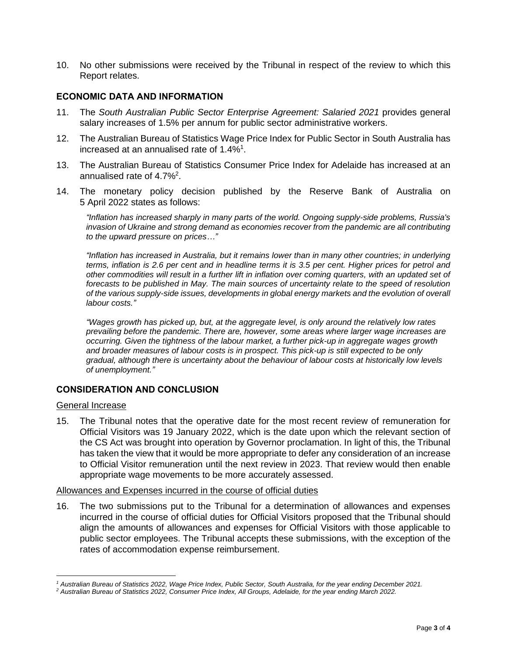10. No other submissions were received by the Tribunal in respect of the review to which this Report relates.

#### **ECONOMIC DATA AND INFORMATION**

- 11. The *South Australian Public Sector Enterprise Agreement: Salaried 2021* provides general salary increases of 1.5% per annum for public sector administrative workers.
- 12. The Australian Bureau of Statistics Wage Price Index for Public Sector in South Australia has increased at an annualised rate of 1.4%<sup>1</sup>.
- 13. The Australian Bureau of Statistics Consumer Price Index for Adelaide has increased at an annualised rate of 4.7%<sup>2</sup>.
- 14. The monetary policy decision published by the Reserve Bank of Australia on 5 April 2022 states as follows:

*"Inflation has increased sharply in many parts of the world. Ongoing supply-side problems, Russia's invasion of Ukraine and strong demand as economies recover from the pandemic are all contributing to the upward pressure on prices…"*

*"Inflation has increased in Australia, but it remains lower than in many other countries; in underlying* terms, inflation is 2.6 per cent and in headline terms it is 3.5 per cent. Higher prices for petrol and other commodities will result in a further lift in inflation over coming quarters, with an updated set of *forecasts to be published in May. The main sources of uncertainty relate to the speed of resolution of the various supply-side issues, developments in global energy markets and the evolution of overall labour costs."*

*"Wages growth has picked up, but, at the aggregate level, is only around the relatively low rates prevailing before the pandemic. There are, however, some areas where larger wage increases are occurring. Given the tightness of the labour market, a further pick-up in aggregate wages growth and broader measures of labour costs is in prospect. This pick-up is still expected to be only gradual, although there is uncertainty about the behaviour of labour costs at historically low levels of unemployment."*

## **CONSIDERATION AND CONCLUSION**

#### General Increase

15. The Tribunal notes that the operative date for the most recent review of remuneration for Official Visitors was 19 January 2022, which is the date upon which the relevant section of the CS Act was brought into operation by Governor proclamation. In light of this, the Tribunal has taken the view that it would be more appropriate to defer any consideration of an increase to Official Visitor remuneration until the next review in 2023. That review would then enable appropriate wage movements to be more accurately assessed.

#### Allowances and Expenses incurred in the course of official duties

16. The two submissions put to the Tribunal for a determination of allowances and expenses incurred in the course of official duties for Official Visitors proposed that the Tribunal should align the amounts of allowances and expenses for Official Visitors with those applicable to public sector employees. The Tribunal accepts these submissions, with the exception of the rates of accommodation expense reimbursement.

<sup>&</sup>lt;sup>1</sup> Australian Bureau of Statistics 2022, Wage Price Index, Public Sector, South Australia, for the year ending December 2021.

<sup>&</sup>lt;sup>2</sup> Australian Bureau of Statistics 2022, Consumer Price Index, All Groups, Adelaide, for the year ending March 2022.